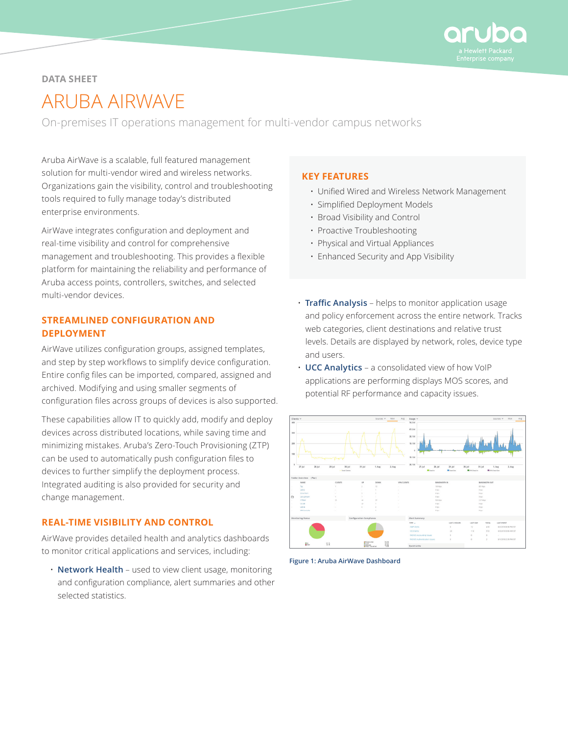

# **DATA SHEET**

# ARUBA AIRWAVE

On-premises IT operations management for multi-vendor campus networks

Aruba AirWave is a scalable, full featured management solution for multi-vendor wired and wireless networks. Organizations gain the visibility, control and troubleshooting tools required to fully manage today's distributed enterprise environments.

AirWave integrates configuration and deployment and real-time visibility and control for comprehensive management and troubleshooting. This provides a flexible platform for maintaining the reliability and performance of Aruba access points, controllers, switches, and selected multi-vendor devices.

# **STREAMLINED CONFIGURATION AND DEPLOYMENT**

AirWave utilizes configuration groups, assigned templates, and step by step workflows to simplify device configuration. Entire config files can be imported, compared, assigned and archived. Modifying and using smaller segments of configuration files across groups of devices is also supported.

These capabilities allow IT to quickly add, modify and deploy devices across distributed locations, while saving time and minimizing mistakes. Aruba's Zero-Touch Provisioning (ZTP) can be used to automatically push configuration files to devices to further simplify the deployment process. Integrated auditing is also provided for security and change management.

# **REAL-TIME VISIBILITY AND CONTROL**

AirWave provides detailed health and analytics dashboards to monitor critical applications and services, including:

• **Network Health** – used to view client usage, monitoring and configuration compliance, alert summaries and other selected statistics.

# **KEY FEATURES**

- Unified Wired and Wireless Network Management
- Simplified Deployment Models
- Broad Visibility and Control
- Proactive Troubleshooting
- Physical and Virtual Appliances
- Enhanced Security and App Visibility
- **Traffic Analysis**  helps to monitor application usage and policy enforcement across the entire network. Tracks web categories, client destinations and relative trust levels. Details are displayed by network, roles, device type and users.
- **UCC Analytics** a consolidated view of how VoIP applications are performing displays MOS scores, and potential RF performance and capacity issues.



**Figure 1: Aruba AirWave Dashboard**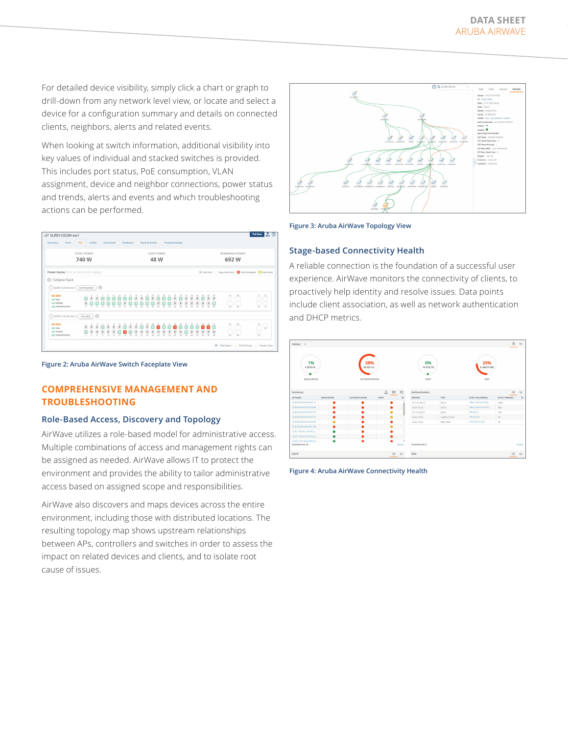For detailed device visibility, simply click a chart or graph to drill-down from any network level view, or locate and select a device for a configuration summary and details on connected clients, neighbors, alerts and related events.

When looking at switch information, additional visibility into key values of individual and stacked switches is provided. This includes port status, PoE consumption, VLAN assignment, device and neighbor connections, power status and trends, alerts and events and which troubleshooting actions can be performed.

| Summary                                        | GP SLR01-CECAV-sw1<br>Ports | PoE                             |                                | <b>VLANS</b>  |               | Connected      |                |    |    | Hardware |                |               |                | Alerts & Events |                   |               | Troubleshooting |                    |                   |                         |                    |                                |                 |                                |                        |                        |                                                    | Poli Now              |
|------------------------------------------------|-----------------------------|---------------------------------|--------------------------------|---------------|---------------|----------------|----------------|----|----|----------|----------------|---------------|----------------|-----------------|-------------------|---------------|-----------------|--------------------|-------------------|-------------------------|--------------------|--------------------------------|-----------------|--------------------------------|------------------------|------------------------|----------------------------------------------------|-----------------------|
|                                                |                             |                                 |                                |               |               |                |                |    |    |          |                |               |                |                 |                   |               |                 |                    |                   |                         |                    |                                |                 |                                |                        |                        |                                                    |                       |
|                                                |                             | TOTAL POWER                     |                                |               |               |                |                |    |    |          |                |               |                |                 | <b>USED POWER</b> |               |                 |                    |                   |                         |                    |                                |                 |                                |                        | <b>REMAINING POWER</b> |                                                    |                       |
|                                                |                             | 740 W                           |                                |               |               |                |                |    |    |          |                |               |                |                 | 48 W              |               |                 |                    |                   |                         |                    |                                |                 |                                |                        | 692 W                  |                                                    |                       |
| Power Status (Click on the ports for details.) |                             |                                 |                                |               |               |                |                |    |    |          |                |               |                |                 |                   |               |                 |                    |                   |                         |                    |                                |                 |                                |                        |                        | P PoE Port Non-PoE Port X PoE Disabled A PoE Fault |                       |
| → Collapse Stack                               |                             |                                 |                                |               |               |                |                |    |    |          |                |               |                |                 |                   |               |                 |                    |                   |                         |                    |                                |                 |                                |                        |                        |                                                    |                       |
|                                                |                             | (1) SLR01-CECAV-sw1 ( Commander |                                |               | $\odot$       |                |                |    |    |          |                |               |                |                 |                   |               |                 |                    |                   |                         |                    |                                |                 |                                |                        |                        |                                                    |                       |
|                                                |                             |                                 |                                |               |               |                |                |    |    |          |                |               |                |                 |                   |               |                 |                    |                   |                         |                    |                                |                 |                                |                        |                        |                                                    |                       |
| anuba<br>$m$ can                               |                             | $\bullet$                       | $\overline{9}$                 |               |               |                |                |    |    | 17       | 19             | 21            | 23             | $\overline{z}$  | 27                | $^{29}$       | 31              | 33<br>$\mathcal G$ | 35                | 37<br>$\mathcal G$      | 39<br>$\mathcal G$ | 41<br>$\mathcal{G}$            | 43<br>$\bullet$ | 45<br>g                        | 47<br>$\mathcal G$     |                        | 63                                                 | 51<br>53              |
| <b>POWER</b><br>TEMPERATURE                    |                             |                                 |                                |               |               |                |                |    |    |          |                |               |                |                 |                   |               | 52              | ù                  | $\mathbf{v}_\ell$ | $\overline{\mathbf{v}}$ | $\frac{9}{5}$      | $\mathcal G$<br>$\overline{a}$ |                 | $\mathcal G$<br>$\overline{a}$ | $\bullet$<br><b>AR</b> | 42                     | 44                                                 | $\circ$<br>$^{4}$     |
|                                                |                             | 2) SLR01-CECAV-sw1-2 Standby    |                                | ⊝             |               |                |                |    |    |          |                |               |                |                 |                   |               |                 |                    |                   |                         |                    |                                |                 |                                |                        |                        |                                                    |                       |
|                                                |                             |                                 |                                |               |               |                |                | 13 |    | 17       | 10             |               | 23             | $\overline{z}$  | 27                | 26            | 31              | 33                 | 35                | 37                      |                    | $-41$                          | $-13$           | 45                             | $\overline{a}$         | A1                     | $\lambda$ 3                                        | $\overline{z_2}$<br>ų |
| anuba                                          |                             |                                 |                                |               |               |                |                |    |    |          |                |               |                |                 |                   |               |                 | $\frac{9}{4}$      | $\frac{9}{3}$     |                         | $\frac{9}{10}$     | $\frac{9}{42}$                 | $\frac{9}{4}$   |                                |                        |                        |                                                    |                       |
| <b>ELECTAN</b><br><b>POWER</b>                 |                             |                                 |                                |               |               |                |                |    |    |          |                |               |                |                 |                   |               |                 |                    |                   |                         |                    |                                |                 |                                |                        |                        |                                                    |                       |
| TEMPERATURE                                    |                             |                                 | $\frac{6}{4}$<br>$\mathcal{L}$ | $\frac{B}{c}$ | $\frac{6}{5}$ | $\frac{9}{10}$ | $\frac{9}{12}$ | 윿  | 76 | ÷        | $\frac{9}{20}$ | $\frac{g}{n}$ | $\frac{9}{14}$ | $\frac{9}{x}$   | $\frac{9}{10}$    | $\frac{9}{3}$ | $\frac{9}{v}$   |                    |                   | ÷                       |                    |                                |                 | $\frac{9}{4}$                  | $\frac{9}{4}$          | $\mathbf{A}$           | $\overline{u}$                                     | Ų                     |

**Figure 2: Aruba AirWave Switch Faceplate View**

# **COMPREHENSIVE MANAGEMENT AND TROUBLESHOOTING**

#### **Role-Based Access, Discovery and Topology**

AirWave utilizes a role-based model for administrative access. Multiple combinations of access and management rights can be assigned as needed. AirWave allows IT to protect the environment and provides the ability to tailor administrative access based on assigned scope and responsibilities.

AirWave also discovers and maps devices across the entire environment, including those with distributed locations. The resulting topology map shows upstream relationships between APs, controllers and switches in order to assess the impact on related devices and clients, and to isolate root cause of issues.



**Figure 3: Aruba AirWave Topology View**

## **Stage-based Connectivity Health**

A reliable connection is the foundation of a successful user experience. AirWave monitors the connectivity of clients, to proactively help identity and resolve issues. Data points include client association, as well as network authentication and DHCP metrics.

| 5.2K/574<br>ASSOCIATION                  |             | 58%<br>85.0K/14<br><b>AUTHENTICATION</b> |      |              | 0%<br>15/152.7K<br>DHCP |                | 25%<br>8.4M/33.5M<br>DNS |                |                |
|------------------------------------------|-------------|------------------------------------------|------|--------------|-------------------------|----------------|--------------------------|----------------|----------------|
| Summary                                  |             |                                          | 且    | $\circ$<br>e | Authentication          |                |                          | $\equiv$       | $\mathbb{R}^n$ |
| AP NAME                                  | ASSOCIATION | <b>AUTHENTICATION</b>                    | DHCP | $\equiv$     | SERVERS                 | TYPE           | AUTH, FAILURES(%)        | AUTH. TIMEIMS) | $\equiv$       |
| SLR02ENG02AP3352117                      | ٠           | ٠                                        |      |              | 15.114.140.12           | Dot1x          | 28% (10470/37164)        | 2282           |                |
| SLR02ENG02AP3352064                      | ٠           | ٠                                        | ٠    |              | 10.44.10.20             | Dot1x          | 69% (73994/107027)       | 950            |                |
| SUR02ENG02AP3352176                      | ٠           |                                          |      |              | 15.114.140.11           | Dot1x          | 9% (2/21)                | 765            |                |
| SUR02ENG02AP3352101                      | ٠           |                                          | ٠    |              | 10.44,10.22             | Captive Portal | 4% (8/187)               | 46             |                |
| SURD2ENG02AP3352036                      | ٠           | σ.                                       | ≏    |              | 10.44, 10.22            | MAC Auth       | 42% (537/1254)           | 39             |                |
| SLR02ENG02AP3352168                      | ٠           |                                          | ٠    |              |                         |                |                          |                |                |
| SLR01-ENG02-AP345-2                      | ٠           | ⋒                                        |      |              |                         |                |                          |                |                |
| SLR01-ENG02-AP345-22.                    | ٠           | ٠                                        |      |              |                         |                |                          |                |                |
| 9,801-QUT-b45d:50x8<br>Total Records: 25 | ٠           | ٠                                        |      | Details      | Total Records: 5        |                |                          |                | <b>Details</b> |

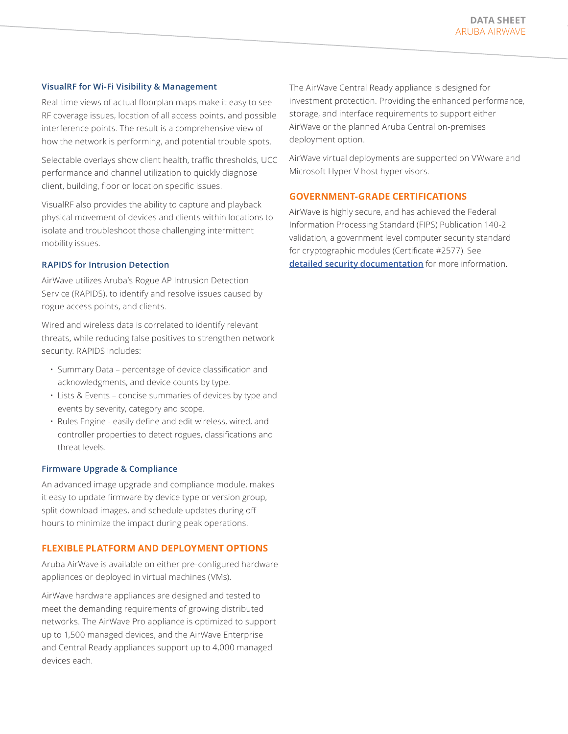#### **VisualRF for Wi-Fi Visibility & Management**

Real-time views of actual floorplan maps make it easy to see RF coverage issues, location of all access points, and possible interference points. The result is a comprehensive view of how the network is performing, and potential trouble spots.

Selectable overlays show client health, traffic thresholds, UCC performance and channel utilization to quickly diagnose client, building, floor or location specific issues.

VisualRF also provides the ability to capture and playback physical movement of devices and clients within locations to isolate and troubleshoot those challenging intermittent mobility issues.

#### **RAPIDS for Intrusion Detection**

AirWave utilizes Aruba's Rogue AP Intrusion Detection Service (RAPIDS), to identify and resolve issues caused by rogue access points, and clients.

Wired and wireless data is correlated to identify relevant threats, while reducing false positives to strengthen network security. RAPIDS includes:

- Summary Data percentage of device classification and acknowledgments, and device counts by type.
- Lists & Events concise summaries of devices by type and events by severity, category and scope.
- Rules Engine easily define and edit wireless, wired, and controller properties to detect rogues, classifications and threat levels.

#### **Firmware Upgrade & Compliance**

An advanced image upgrade and compliance module, makes it easy to update firmware by device type or version group, split download images, and schedule updates during off hours to minimize the impact during peak operations.

#### **FLEXIBLE PLATFORM AND DEPLOYMENT OPTIONS**

Aruba AirWave is available on either pre-configured hardware appliances or deployed in virtual machines (VMs).

AirWave hardware appliances are designed and tested to meet the demanding requirements of growing distributed networks. The AirWave Pro appliance is optimized to support up to 1,500 managed devices, and the AirWave Enterprise and Central Ready appliances support up to 4,000 managed devices each.

The AirWave Central Ready appliance is designed for investment protection. Providing the enhanced performance, storage, and interface requirements to support either AirWave or the planned Aruba Central on-premises deployment option.

AirWave virtual deployments are supported on VWware and Microsoft Hyper-V host hyper visors.

## **GOVERNMENT-GRADE CERTIFICATIONS**

AirWave is highly secure, and has achieved the Federal Information Processing Standard (FIPS) Publication 140-2 validation, a government level computer security standard for cryptographic modules (Certificate #2577). See **[detailed security documentation](https://csrc.nist.gov/csrc/media/projects/cryptographic-module-validation-program/documents/security-policies/140sp2577.pdf)** for more information.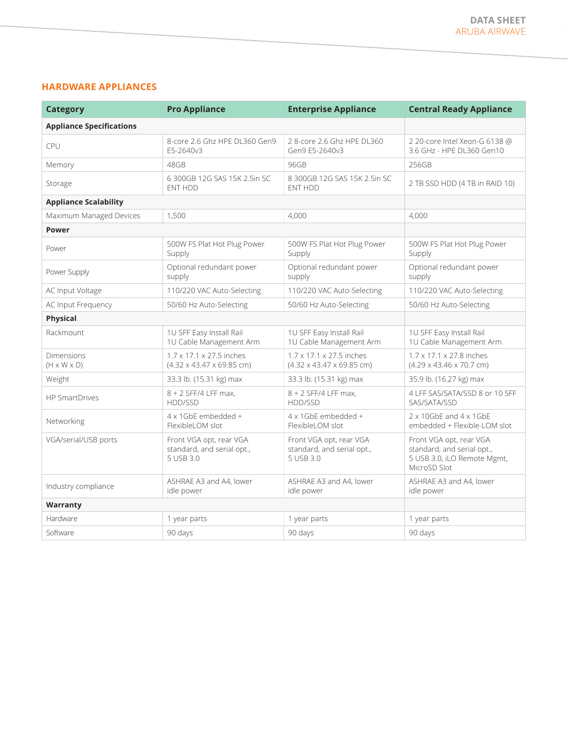## **HARDWARE APPLIANCES**

| <b>Category</b>                       | <b>Pro Appliance</b>                                                          | <b>Enterprise Appliance</b>                                                   | <b>Central Ready Appliance</b>                                                                       |  |  |
|---------------------------------------|-------------------------------------------------------------------------------|-------------------------------------------------------------------------------|------------------------------------------------------------------------------------------------------|--|--|
| <b>Appliance Specifications</b>       |                                                                               |                                                                               |                                                                                                      |  |  |
| CPU                                   | 8-core 2.6 Ghz HPE DL360 Gen9<br>F5-2640v3                                    | 28-core 2.6 Ghz HPE DL360<br>Gen9 E5-2640v3                                   | 2 20-core Intel Xeon-G 6138 @<br>3.6 GHz - HPE DL360 Gen10                                           |  |  |
| Memory                                | 48GB                                                                          | 96GB                                                                          | 256GB                                                                                                |  |  |
| Storage                               | 6 300GB 12G SAS 15K 2.5in SC<br><b>ENT HDD</b>                                | 8 300GB 12G SAS 15K 2.5in SC<br>ENT HDD                                       | 2 TB SSD HDD (4 TB in RAID 10)                                                                       |  |  |
| <b>Appliance Scalability</b>          |                                                                               |                                                                               |                                                                                                      |  |  |
| Maximum Managed Devices               | 1,500                                                                         | 4.000                                                                         | 4,000                                                                                                |  |  |
| <b>Power</b>                          |                                                                               |                                                                               |                                                                                                      |  |  |
| Power                                 | 500W FS Plat Hot Plug Power<br>Supply                                         | 500W FS Plat Hot Plug Power<br>Supply                                         | 500W FS Plat Hot Plug Power<br>Supply                                                                |  |  |
| Power Supply                          | Optional redundant power<br>supply                                            | Optional redundant power<br>supply                                            | Optional redundant power<br>supply                                                                   |  |  |
| AC Input Voltage                      | 110/220 VAC Auto-Selecting                                                    | 110/220 VAC Auto-Selecting                                                    | 110/220 VAC Auto-Selecting                                                                           |  |  |
| AC Input Frequency                    | 50/60 Hz Auto-Selecting                                                       | 50/60 Hz Auto-Selecting                                                       | 50/60 Hz Auto-Selecting                                                                              |  |  |
| Physical                              |                                                                               |                                                                               |                                                                                                      |  |  |
| Rackmount                             | 1U SFF Easy Install Rail<br>1U Cable Management Arm                           | 1U SFF Easy Install Rail<br>1U Cable Management Arm                           | 1U SFF Easy Install Rail<br>1U Cable Management Arm                                                  |  |  |
| Dimensions<br>$(H \times W \times D)$ | $1.7 \times 17.1 \times 27.5$ inches<br>$(4.32 \times 43.47 \times 69.85$ cm) | $1.7 \times 17.1 \times 27.5$ inches<br>$(4.32 \times 43.47 \times 69.85$ cm) | $1.7 \times 17.1 \times 27.8$ inches<br>$(4.29 \times 43.46 \times 70.7$ cm)                         |  |  |
| Weight                                | 33.3 lb. (15.31 kg) max                                                       | 33.3 lb. (15.31 kg) max                                                       | 35.9 lb. (16.27 kg) max                                                                              |  |  |
| <b>HP SmartDrives</b>                 | 8 + 2 SFF/4 LFF max,<br>HDD/SSD                                               | 8 + 2 SFF/4 LFF max,<br>HDD/SSD                                               | 4 LFF SAS/SATA/SSD 8 or 10 SFF<br>SAS/SATA/SSD                                                       |  |  |
| Networking                            | 4 x 1GbE embedded +<br>Flexible IOM slot                                      | 4 x 1GbE embedded +<br>Flexible IOM slot                                      | 2 x 10GbE and 4 x 1GbE<br>embedded + Flexible-LOM slot                                               |  |  |
| VGA/serial/USB ports                  | Front VGA opt, rear VGA<br>standard, and serial opt.,<br>5 USB 3.0            | Front VGA opt, rear VGA<br>standard, and serial opt.,<br>5 USB 3.0            | Front VGA opt, rear VGA<br>standard, and serial opt.,<br>5 USB 3.0, iLO Remote Mgmt,<br>MicroSD Slot |  |  |
| Industry compliance                   | ASHRAE A3 and A4, lower<br>idle power                                         | ASHRAE A3 and A4, lower<br>idle power                                         | ASHRAE A3 and A4, lower<br>idle power                                                                |  |  |
| Warranty                              |                                                                               |                                                                               |                                                                                                      |  |  |
| Hardware                              | 1 year parts                                                                  | 1 year parts                                                                  | 1 year parts                                                                                         |  |  |
| Software                              | 90 days                                                                       | 90 days                                                                       | 90 days                                                                                              |  |  |